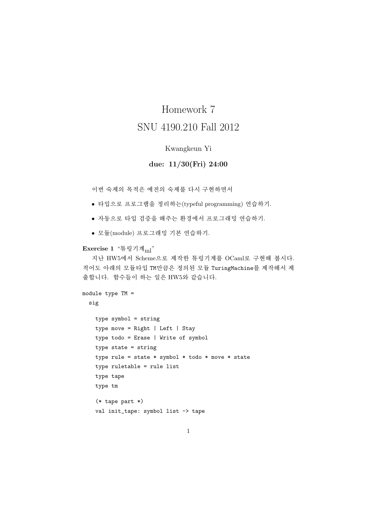# Homework 7 SNU 4190.210 Fall 2012

### Kwangkeun Yi

#### due: 11/30(Fri) 24:00

이번 숙제의 목적은 예전의 숙제를 다시 구현하면서

- 타입으로 프로그램을 정리하는(typeful programming) 연습하기.
- 자동으로 타입 검증을 해주는 환경에서 프로그래밍 연습하기.
- 모듈(module) 프로그래밍 기본 연습하기.

#### Exercise 1 "튜링기계 $_{\rm ml}$ "

지난 HW5에서 Scheme으로 제작한 튜링기계를 OCaml로 구현해 봅시다. 적어도 아래의 모듈타입 TM만큼은 정의된 모듈 TuringMachine를 제작해서 제 출합니다. 함수들이 하는 일은 HW5와 같습니다.

```
module type TM =
```
## sig

```
type symbol = string
type move = Right | Left | Stay
type todo = Erase | Write of symbol
type state = string
type rule = state * symbol * todo * move * state
type ruletable = rule list
type tape
type tm
(* tape part *)
val init_tape: symbol list -> tape
```